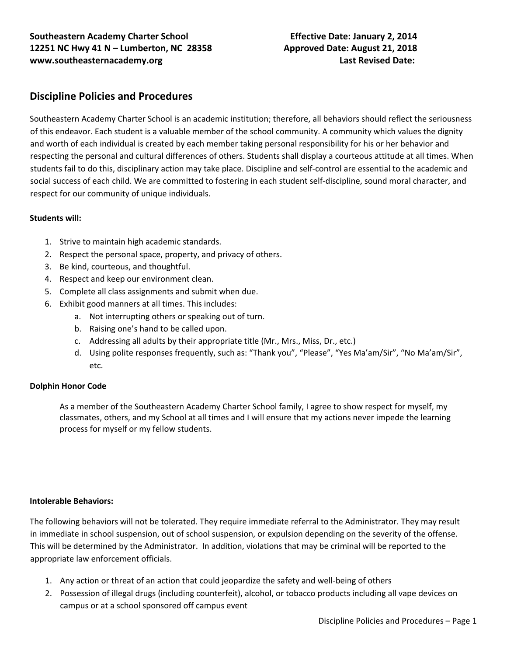# **Discipline Policies and Procedures**

Southeastern Academy Charter School is an academic institution; therefore, all behaviors should reflect the seriousness of this endeavor. Each student is a valuable member of the school community. A community which values the dignity and worth of each individual is created by each member taking personal responsibility for his or her behavior and respecting the personal and cultural differences of others. Students shall display a courteous attitude at all times. When students fail to do this, disciplinary action may take place. Discipline and self-control are essential to the academic and social success of each child. We are committed to fostering in each student self-discipline, sound moral character, and respect for our community of unique individuals.

### **Students will:**

- 1. Strive to maintain high academic standards.
- 2. Respect the personal space, property, and privacy of others.
- 3. Be kind, courteous, and thoughtful.
- 4. Respect and keep our environment clean.
- 5. Complete all class assignments and submit when due.
- 6. Exhibit good manners at all times. This includes:
	- a. Not interrupting others or speaking out of turn.
	- b. Raising one's hand to be called upon.
	- c. Addressing all adults by their appropriate title (Mr., Mrs., Miss, Dr., etc.)
	- d. Using polite responses frequently, such as: "Thank you", "Please", "Yes Ma'am/Sir", "No Ma'am/Sir", etc.

### **Dolphin Honor Code**

As a member of the Southeastern Academy Charter School family, I agree to show respect for myself, my classmates, others, and my School at all times and I will ensure that my actions never impede the learning process for myself or my fellow students.

### **Intolerable Behaviors:**

The following behaviors will not be tolerated. They require immediate referral to the Administrator. They may result in immediate in school suspension, out of school suspension, or expulsion depending on the severity of the offense. This will be determined by the Administrator. In addition, violations that may be criminal will be reported to the appropriate law enforcement officials.

- 1. Any action or threat of an action that could jeopardize the safety and well-being of others
- 2. Possession of illegal drugs (including counterfeit), alcohol, or tobacco products including all vape devices on campus or at a school sponsored off campus event